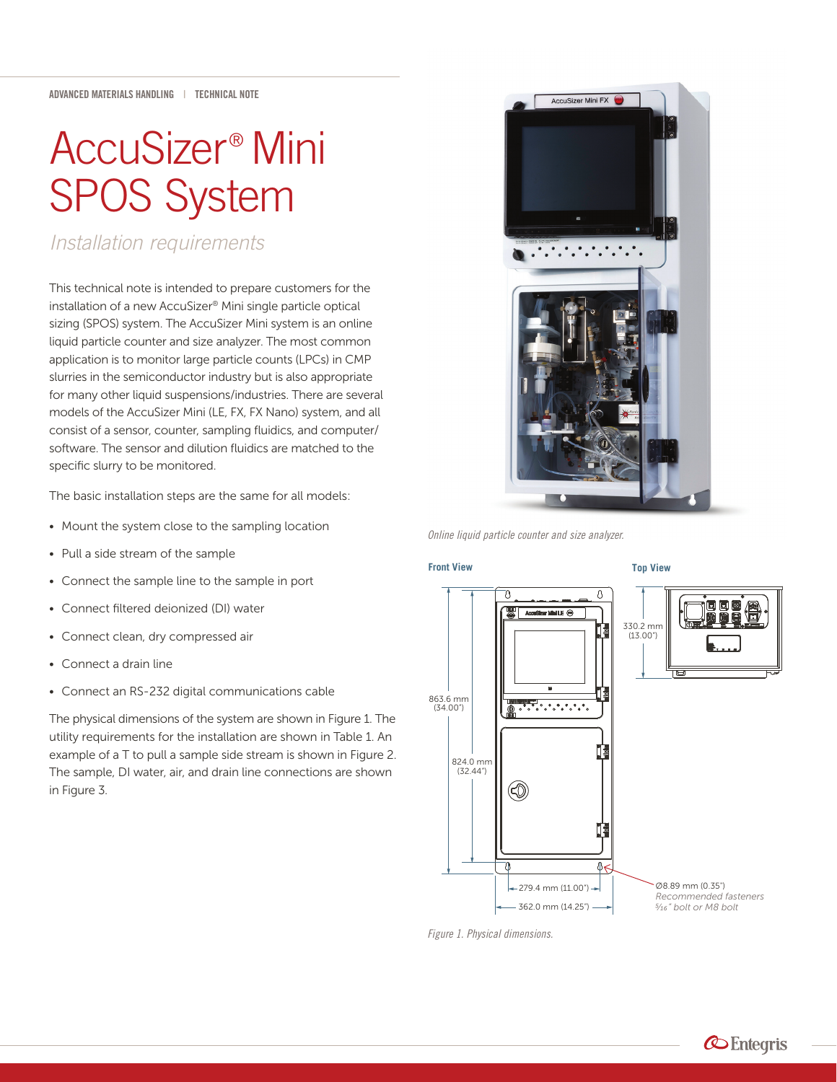# AccuSizer® Mini SPOS System

*Installation requirements*

This technical note is intended to prepare customers for the installation of a new AccuSizer® Mini single particle optical sizing (SPOS) system. The AccuSizer Mini system is an online liquid particle counter and size analyzer. The most common application is to monitor large particle counts (LPCs) in CMP slurries in the semiconductor industry but is also appropriate for many other liquid suspensions/industries. There are several models of the AccuSizer Mini (LE, FX, FX Nano) system, and all consist of a sensor, counter, sampling fluidics, and computer/ software. The sensor and dilution fluidics are matched to the specific slurry to be monitored.

The basic installation steps are the same for all models:

- Mount the system close to the sampling location
- Pull a side stream of the sample
- Connect the sample line to the sample in port
- Connect filtered deionized (DI) water
- Connect clean, dry compressed air
- Connect a drain line
- Connect an RS-232 digital communications cable

The physical dimensions of the system are shown in Figure 1. The utility requirements for the installation are shown in Table 1. An example of a T to pull a sample side stream is shown in Figure 2. The sample, DI water, air, and drain line connections are shown in Figure 3.



*Online liquid particle counter and size analyzer.*

#### **Front View**



*Figure 1. Physical dimensions.*

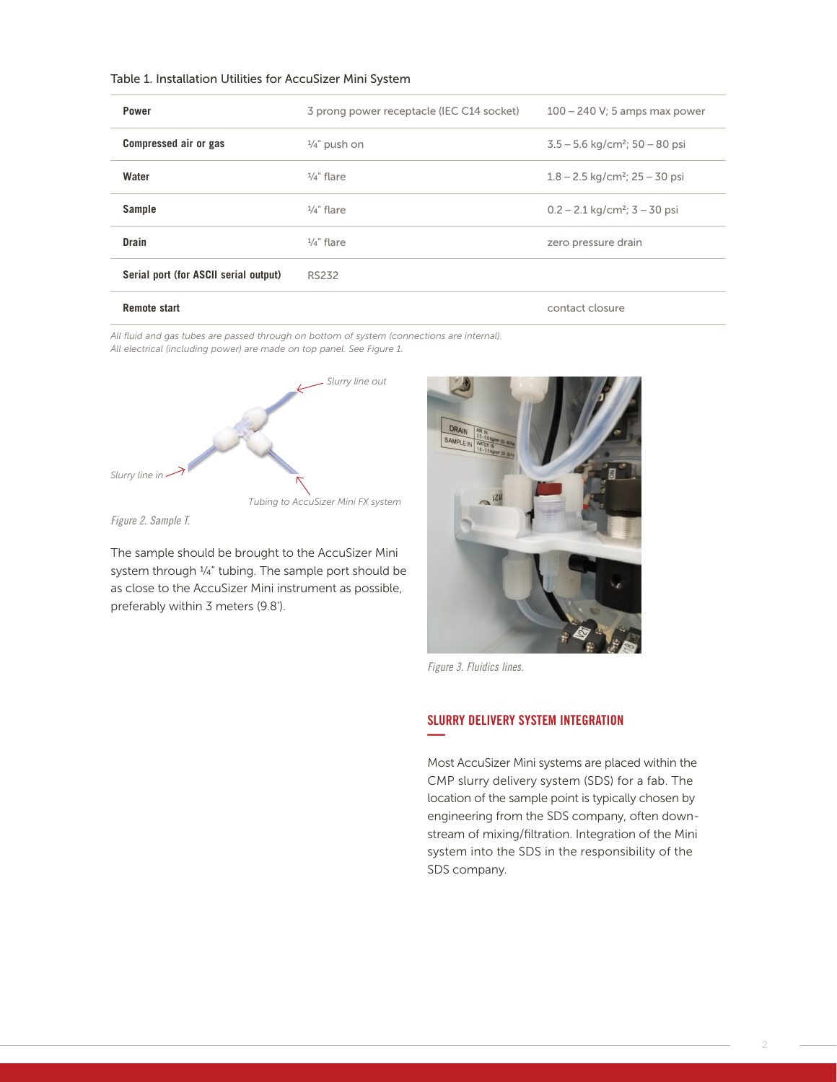#### Table 1. Installation Utilities for AccuSizer Mini System

| <b>Power</b>                          | 3 prong power receptacle (IEC C14 socket) | $100 - 240$ V; 5 amps max power                |
|---------------------------------------|-------------------------------------------|------------------------------------------------|
| Compressed air or gas                 | $\frac{1}{4}$ " push on                   | $3.5 - 5.6$ kg/cm <sup>2</sup> ; $50 - 80$ psi |
| Water                                 | $\frac{1}{4}$ " flare                     | $1.8 - 2.5$ kg/cm <sup>2</sup> ; 25 – 30 psi   |
| <b>Sample</b>                         | $\frac{1}{4}$ " flare                     | $0.2 - 2.1$ kg/cm <sup>2</sup> ; $3 - 30$ psi  |
| <b>Drain</b>                          | $\frac{1}{4}$ " flare                     | zero pressure drain                            |
| Serial port (for ASCII serial output) | <b>RS232</b>                              |                                                |
| <b>Remote start</b>                   |                                           | contact closure                                |

*All fluid and gas tubes are passed through on bottom of system (connections are internal). All electrical (including power) are made on top panel. See Figure 1.*



*Figure 2. Sample T.*

The sample should be brought to the AccuSizer Mini system through ¼" tubing. The sample port should be as close to the AccuSizer Mini instrument as possible, preferably within 3 meters (9.8').



*Figure 3. Fluidics lines.*

# SLURRY DELIVERY SYSTEM INTEGRATION **—**

Most AccuSizer Mini systems are placed within the CMP slurry delivery system (SDS) for a fab. The location of the sample point is typically chosen by engineering from the SDS company, often downstream of mixing/filtration. Integration of the Mini system into the SDS in the responsibility of the SDS company.